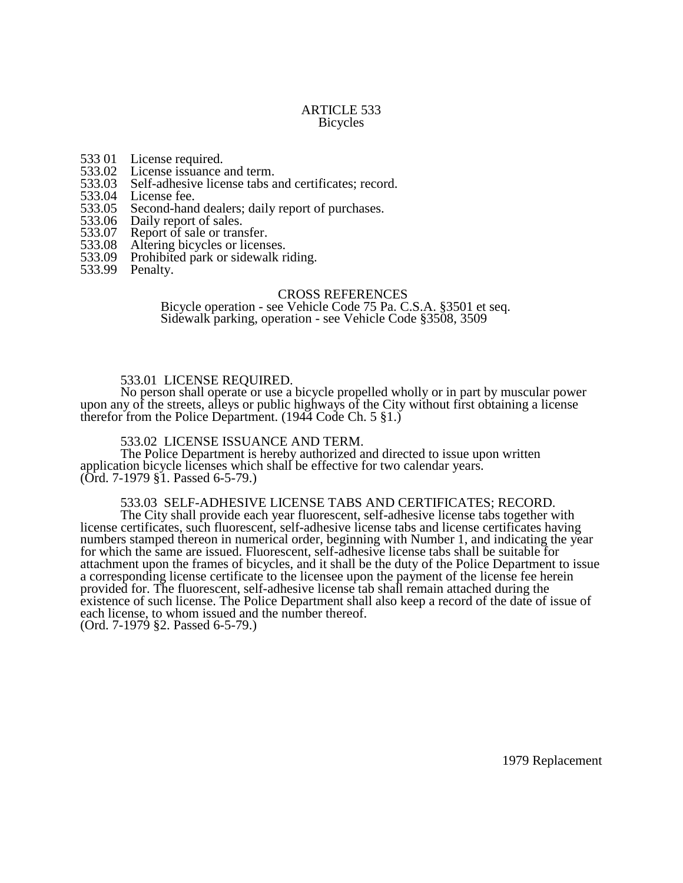#### ARTICLE 533 Bicycles

- 533 01 License required.<br>533.02 License issuance
- 533.02 License issuance and term.<br>533.03 Self-adhesive license tabs a
- 533.03 Self-adhesive license tabs and certificates; record.<br>533.04 License fee.
- 
- 533.04 License fee.<br>533.05 Second-hand 533.05 Second-hand dealers; daily report of purchases.<br>533.06 Daily report of sales.
- 533.06 Daily report of sales.<br>533.07 Report of sale or trans
- 533.07 Report of sale or transfer.<br>533.08 Altering bicycles or licens
- 533.08 Altering bicycles or licenses.<br>533.09 Prohibited park or sidewalk ri
- Prohibited park or sidewalk riding.
- 533.99 Penalty.

#### CROSS REFERENCES

Bicycle operation - see Vehicle Code 75 Pa. C.S.A. §3501 et seq. Sidewalk parking, operation - see Vehicle Code §3508, 3509

#### 533.01 LICENSE REQUIRED.

No person shall operate or use a bicycle propelled wholly or in part by muscular power upon any of the streets, alleys or public highways of the City without first obtaining a license therefor from the Police Department. (1944 Code Ch. 5 §1.)

## 533.02 LICENSE ISSUANCE AND TERM.

The Police Department is hereby authorized and directed to issue upon written application bicycle licenses which shall be effective for two calendar years. (Ord. 7-1979 §1. Passed 6-5-79.)

## 533.03 SELF-ADHESIVE LICENSE TABS AND CERTIFICATES; RECORD.

The City shall provide each year fluorescent, self-adhesive license tabs together with license certificates, such fluorescent, self-adhesive license tabs and license certificates having numbers stamped thereon in numerical order, beginning with Number 1, and indicating the year for which the same are issued. Fluorescent, self-adhesive license tabs shall be suitable for attachment upon the frames of bicycles, and it shall be the duty of the Police Department to issue a corresponding license certificate to the licensee upon the payment of the license fee herein provided for. The fluorescent, self-adhesive license tab shall remain attached during the existence of such license. The Police Department shall also keep a record of the date of issue of each license, to whom issued and the number thereof. (Ord. 7-1979 §2. Passed 6-5-79.)

1979 Replacement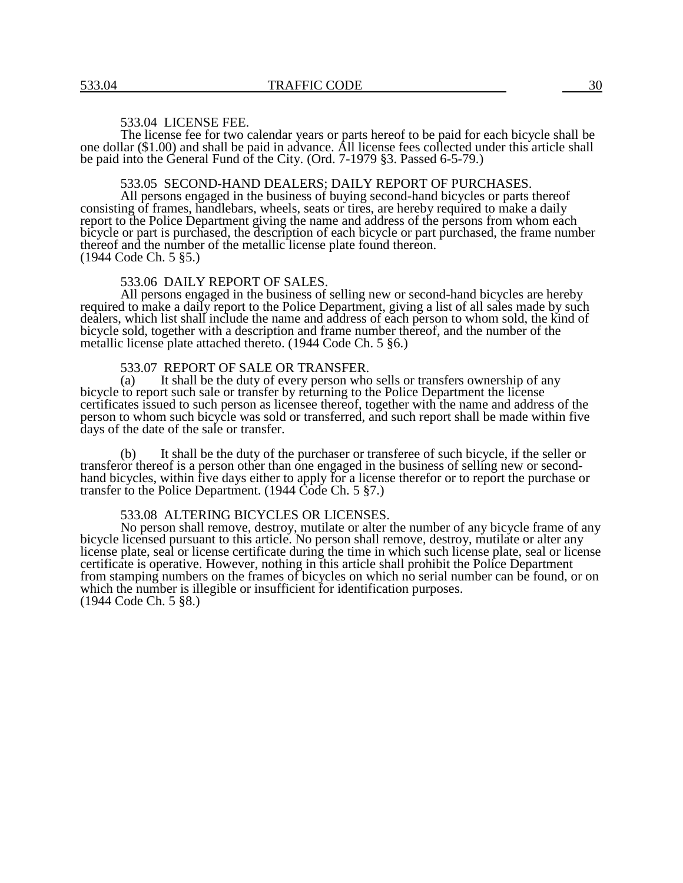## 533.04 LICENSE FEE.

The license fee for two calendar years or parts hereof to be paid for each bicycle shall be one dollar (\$1.00) and shall be paid in advance. All license fees collected under this article shall be paid into the General Fund of the City. (Ord. 7-1979 §3. Passed 6-5-79.)

## 533.05 SECOND-HAND DEALERS; DAILY REPORT OF PURCHASES.

All persons engaged in the business of buying second-hand bicycles or parts thereof consisting of frames, handlebars, wheels, seats or tires, are hereby required to make a daily report to the Police Department giving the name and address of the persons from whom each bicycle or part is purchased, the description of each bicycle or part purchased, the frame number thereof and the number of the metallic license plate found thereon. (1944 Code Ch. 5 §5.)

#### 533.06 DAILY REPORT OF SALES.

All persons engaged in the business of selling new or second-hand bicycles are hereby required to make a daily report to the Police Department, giving a list of all sales made by such dealers, which list shall include the name and address of each person to whom sold, the kind of bicycle sold, together with a description and frame number thereof, and the number of the metallic license plate attached thereto. (1944 Code Ch. 5 §6.)

# 533.07 REPORT OF SALE OR TRANSFER.<br>(a) It shall be the duty of every person who

It shall be the duty of every person who sells or transfers ownership of any bicycle to report such sale or transfer by returning to the Police Department the license certificates issued to such person as licensee thereof, together with the name and address of the person to whom such bicycle was sold or transferred, and such report shall be made within five days of the date of the sale or transfer.

(b) It shall be the duty of the purchaser or transferee of such bicycle, if the seller or transferor thereof is a person other than one engaged in the business of selling new or secondhand bicycles, within five days either to apply for a license therefor or to report the purchase or transfer to the Police Department. (1944 Code Ch. 5 §7.)

## 533.08 ALTERING BICYCLES OR LICENSES.

No person shall remove, destroy, mutilate or alter the number of any bicycle frame of any bicycle licensed pursuant to this article. No person shall remove, destroy, mutilate or alter any license plate, seal or license certificate during the time in which such license plate, seal or license certificate is operative. However, nothing in this article shall prohibit the Police Department from stamping numbers on the frames of bicycles on which no serial number can be found, or on which the number is illegible or insufficient for identification purposes. (1944 Code Ch. 5 §8.)